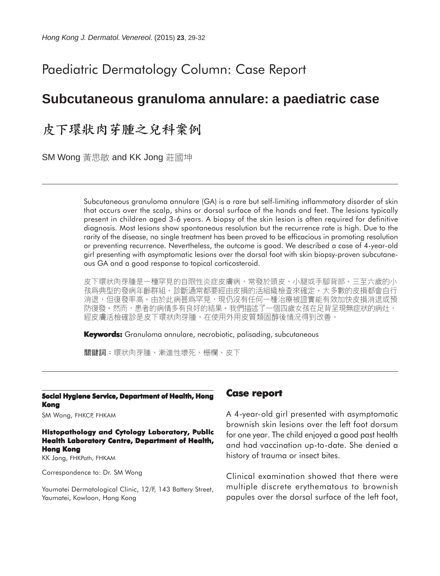# Paediatric Dermatology Column: Case Report

# **Subcutaneous granuloma annulare: a paediatric case**

# 皮下環狀肉芽腫之兒科案例

SM Wong 黃思敏 and KK Jong 莊國坤

Subcutaneous granuloma annulare (GA) is a rare but self-limiting inflammatory disorder of skin that occurs over the scalp, shins or dorsal surface of the hands and feet. The lesions typically present in children aged 3-6 years. A biopsy of the skin lesion is often required for definitive diagnosis. Most lesions show spontaneous resolution but the recurrence rate is high. Due to the rarity of the disease, no single treatment has been proved to be efficacious in promoting resolution or preventing recurrence. Nevertheless, the outcome is good. We described a case of 4-year-old girl presenting with asymptomatic lesions over the dorsal foot with skin biopsy-proven subcutaneous GA and a good response to topical corticosteroid.

皮下環狀肉芽腫是一種罕見的自限性炎症皮膚病,常發於頭皮、小腿或手腳背部。三至六歲的小 孩爲典型的發病年齡群組。診斷通常都要經由皮損的活組織檢查來確定。大多數的皮損都會自行 消退,但復發率高。由於此病甚爲罕見,現仍沒有任何一種治療被證實能有效加快皮損消退或預 防復發。然而,患者的病情多有良好的結果。我們描述了一個四歲女孩在足背呈現無症狀的病灶, 經皮膚活檢確診是皮下環狀肉芽腫,在使用外用皮質類固醇後情況得到改善。

**Keywords:** Granuloma annulare, necrobiotic, palisading, subcutaneous

關鍵詞:環狀肉芽腫、漸進性壞死、栅欄、皮下

#### **Social Hygiene Service, Department of Health, Hong Kong**

SM Wong, FHKCP, FHKAM

#### **Histopathology and Cytology Laboratory, Public Health Laboratory Centre, Department of Health, Hong Kong**

KK Jong, FHKPath, FHKAM

Correspondence to: Dr. SM Wong

Yaumatei Dermatological Clinic, 12/F, 143 Battery Street, Yaumatei, Kowloon, Hong Kong

### **Case report**

A 4-year-old girl presented with asymptomatic brownish skin lesions over the left foot dorsum for one year. The child enjoyed a good past health and had vaccination up-to-date. She denied a history of trauma or insect bites.

Clinical examination showed that there were multiple discrete erythematous to brownish papules over the dorsal surface of the left foot,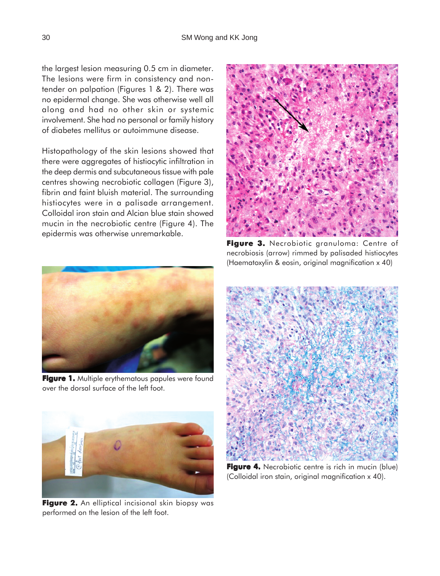the largest lesion measuring 0.5 cm in diameter. The lesions were firm in consistency and nontender on palpation (Figures 1 & 2). There was no epidermal change. She was otherwise well all along and had no other skin or systemic involvement. She had no personal or family history of diabetes mellitus or autoimmune disease.

Histopathology of the skin lesions showed that there were aggregates of histiocytic infiltration in the deep dermis and subcutaneous tissue with pale centres showing necrobiotic collagen (Figure 3), fibrin and faint bluish material. The surrounding histiocytes were in a palisade arrangement. Colloidal iron stain and Alcian blue stain showed mucin in the necrobiotic centre (Figure 4). The epidermis was otherwise unremarkable.



Figure 3. Necrobiotic granuloma: Centre of necrobiosis (arrow) rimmed by palisaded histiocytes (Haematoxylin & eosin, original magnification x 40)



**Figure 1.** Multiple erythematous papules were found over the dorsal surface of the left foot.



Figure 2. An elliptical incisional skin biopsy was performed on the lesion of the left foot.



**Figure 4.** Necrobiotic centre is rich in mucin (blue) (Colloidal iron stain, original magnification x 40).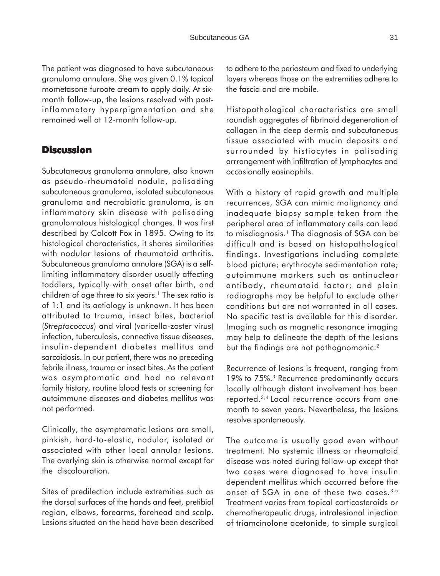The patient was diagnosed to have subcutaneous granuloma annulare. She was given 0.1% topical mometasone furoate cream to apply daily. At sixmonth follow-up, the lesions resolved with postinflammatory hyperpigmentation and she remained well at 12-month follow-up.

### **Discussion**

Subcutaneous granuloma annulare, also known as pseudo-rheumatoid nodule, palisading subcutaneous granuloma, isolated subcutaneous granuloma and necrobiotic granuloma, is an inflammatory skin disease with palisading granulomatous histological changes. It was first described by Colcott Fox in 1895. Owing to its histological characteristics, it shares similarities with nodular lesions of rheumatoid arthritis. Subcutaneous granuloma annulare (SGA) is a selflimiting inflammatory disorder usually affecting toddlers, typically with onset after birth, and children of age three to six years.<sup>1</sup> The sex ratio is of 1:1 and its aetiology is unknown. It has been attributed to trauma, insect bites, bacterial (*Streptococcus*) and viral (varicella-zoster virus) infection, tuberculosis, connective tissue diseases, insulin-dependent diabetes mellitus and sarcoidosis. In our patient, there was no preceding febrile illness, trauma or insect bites. As the patient was asymptomatic and had no relevant family history, routine blood tests or screening for autoimmune diseases and diabetes mellitus was not performed.

Clinically, the asymptomatic lesions are small, pinkish, hard-to-elastic, nodular, isolated or associated with other local annular lesions. The overlying skin is otherwise normal except for the discolouration.

Sites of predilection include extremities such as the dorsal surfaces of the hands and feet, pretibial region, elbows, forearms, forehead and scalp. Lesions situated on the head have been described to adhere to the periosteum and fixed to underlying layers whereas those on the extremities adhere to the fascia and are mobile.

Histopathological characteristics are small roundish aggregates of fibrinoid degeneration of collagen in the deep dermis and subcutaneous tissue associated with mucin deposits and surrounded by histiocytes in palisading arrrangement with infiltration of lymphocytes and occasionally eosinophils.

With a history of rapid growth and multiple recurrences, SGA can mimic malignancy and inadequate biopsy sample taken from the peripheral area of inflammatory cells can lead to misdiagnosis.1 The diagnosis of SGA can be difficult and is based on histopathological findings. Investigations including complete blood picture; erythrocyte sedimentation rate; autoimmune markers such as antinuclear antibody, rheumatoid factor; and plain radiographs may be helpful to exclude other conditions but are not warranted in all cases. No specific test is available for this disorder. Imaging such as magnetic resonance imaging may help to delineate the depth of the lesions but the findings are not pathognomonic.<sup>2</sup>

Recurrence of lesions is frequent, ranging from 19% to 75%.3 Recurrence predominantly occurs locally although distant involvement has been reported.3,4 Local recurrence occurs from one month to seven years. Nevertheless, the lesions resolve spontaneously.

The outcome is usually good even without treatment. No systemic illness or rheumatoid disease was noted during follow-up except that two cases were diagnosed to have insulin dependent mellitus which occurred before the onset of SGA in one of these two cases.<sup>3,5</sup> Treatment varies from topical corticosteroids or chemotherapeutic drugs, intralesional injection of triamcinolone acetonide, to simple surgical